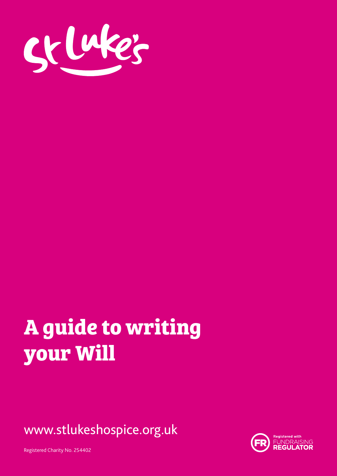

# **A guide to writing your Will**

www.stlukeshospice.org.uk



Registered Charity No. 254402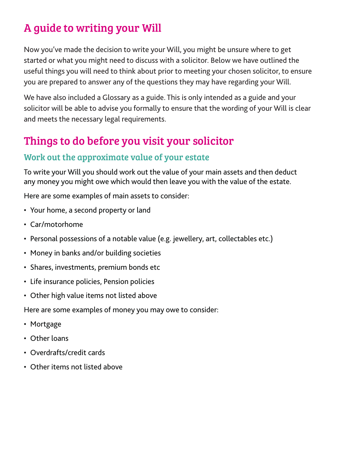# A guide to writing your Will

Now you've made the decision to write your Will, you might be unsure where to get started or what you might need to discuss with a solicitor. Below we have outlined the useful things you will need to think about prior to meeting your chosen solicitor, to ensure you are prepared to answer any of the questions they may have regarding your Will.

We have also included a Glossary as a guide. This is only intended as a guide and your solicitor will be able to advise you formally to ensure that the wording of your Will is clear and meets the necessary legal requirements.

# Things to do before you visit your solicitor

## Work out the approximate value of your estate

To write your Will you should work out the value of your main assets and then deduct any money you might owe which would then leave you with the value of the estate.

Here are some examples of main assets to consider:

- Your home, a second property or land
- Car/motorhome
- Personal possessions of a notable value (e.g. jewellery, art, collectables etc.)
- Money in banks and/or building societies
- Shares, investments, premium bonds etc
- Life insurance policies, Pension policies
- Other high value items not listed above

Here are some examples of money you may owe to consider:

- Mortgage
- Other loans
- Overdrafts/credit cards
- Other items not listed above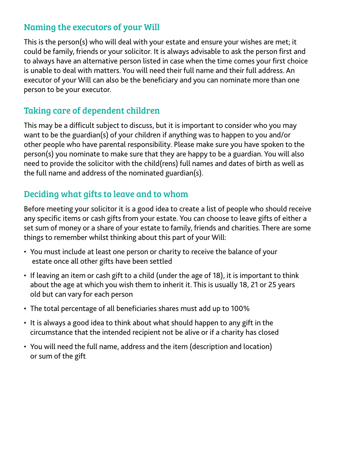#### Naming the executors of your Will

This is the person(s) who will deal with your estate and ensure your wishes are met; it could be family, friends or your solicitor. It is always advisable to ask the person first and to always have an alternative person listed in case when the time comes your first choice is unable to deal with matters. You will need their full name and their full address. An executor of your Will can also be the beneficiary and you can nominate more than one person to be your executor.

### Taking care of dependent children

This may be a difficult subject to discuss, but it is important to consider who you may want to be the guardian(s) of your children if anything was to happen to you and/or other people who have parental responsibility. Please make sure you have spoken to the person(s) you nominate to make sure that they are happy to be a guardian. You will also need to provide the solicitor with the child(rens) full names and dates of birth as well as the full name and address of the nominated guardian(s).

## Deciding what gifts to leave and to whom

Before meeting your solicitor it is a good idea to create a list of people who should receive any specific items or cash gifts from your estate. You can choose to leave gifts of either a set sum of money or a share of your estate to family, friends and charities. There are some things to remember whilst thinking about this part of your Will:

- You must include at least one person or charity to receive the balance of your estate once all other gifts have been settled
- If leaving an item or cash gift to a child (under the age of 18), it is important to think about the age at which you wish them to inherit it. This is usually 18, 21 or 25 years old but can vary for each person
- The total percentage of all beneficiaries shares must add up to 100%
- It is always a good idea to think about what should happen to any gift in the circumstance that the intended recipient not be alive or if a charity has closed
- You will need the full name, address and the item (description and location) or sum of the gift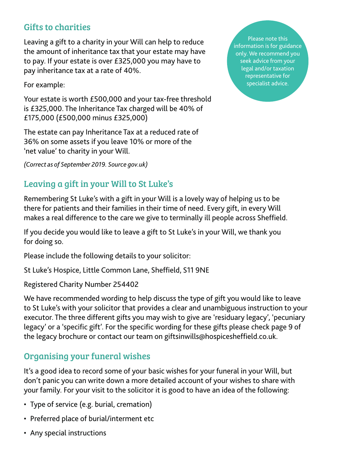### Gifts to charities

Leaving a gift to a charity in your Will can help to reduce the amount of inheritance tax that your estate may have to pay. If your estate is over £325,000 you may have to pay inheritance tax at a rate of 40%.

For example:

Your estate is worth £500,000 and your tax-free threshold is £325,000. The Inheritance Tax charged will be 40% of £175,000 (£500,000 minus £325,000)

The estate can pay Inheritance Tax at a reduced rate of 36% on some assets if you leave 10% or more of the 'net value' to charity in your Will.

*(Correct as of September 2019. Source gov.uk)*

## Leaving a gift in your Will to St Luke's

Remembering St Luke's with a gift in your Will is a lovely way of helping us to be there for patients and their families in their time of need. Every gift, in every Will makes a real difference to the care we give to terminally ill people across Sheffield.

If you decide you would like to leave a gift to St Luke's in your Will, we thank you for doing so.

Please include the following details to your solicitor:

St Luke's Hospice, Little Common Lane, Sheffield, S11 9NE

Registered Charity Number 254402

We have recommended wording to help discuss the type of gift you would like to leave to St Luke's with your solicitor that provides a clear and unambiguous instruction to your executor. The three different gifts you may wish to give are 'residuary legacy', 'pecuniary legacy' or a 'specific gift'. For the specific wording for these gifts please check page 9 of the legacy brochure or contact our team on giftsinwills@hospicesheffield.co.uk.

#### Organising your funeral wishes

It's a good idea to record some of your basic wishes for your funeral in your Will, but don't panic you can write down a more detailed account of your wishes to share with your family. For your visit to the solicitor it is good to have an idea of the following:

- Type of service (e.g. burial, cremation)
- Preferred place of burial/interment etc
- Any special instructions

Please note this information is for guidance only. We recommend you seek advice from your legal and/or taxation representative for specialist advice.